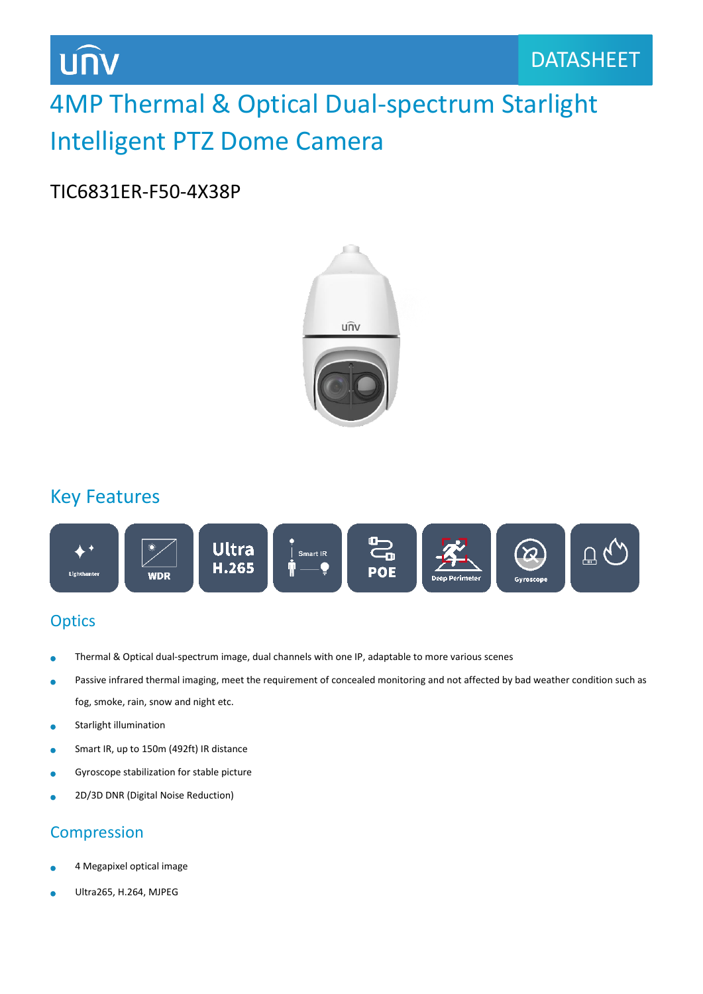**UNV** 

# 4MP Thermal & Optical Dual-spectrum Starlight Intelligent PTZ Dome Camera

#### TIC6831ER-F50-4X38P



### Key Features



#### **Optics**

- Thermal & Optical dual-spectrum image, dual channels with one IP, adaptable to more various scenes À
- Passive infrared thermal imaging, meet the requirement of concealed monitoring and not affected by bad weather condition such as ä fog, smoke, rain, snow and night etc.
- Starlight illumination  $\bullet$
- Smart IR, up to 150m (492ft) IR distance  $\bullet$
- Gyroscope stabilization for stable picture ö
- 2D/3D DNR (Digital Noise Reduction) ä

#### Compression

- 4 Megapixel optical image
- Ultra265, H.264, MJPEG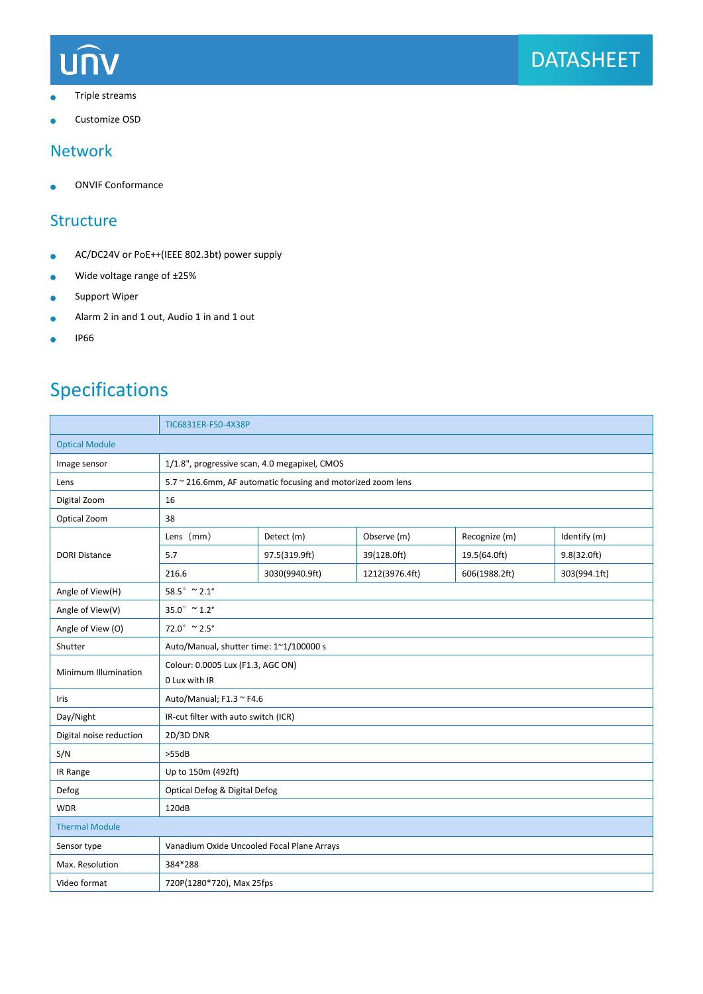

- Triple streams ò
- Customize OSD

#### Network

ONVIF Conformance  $\bullet$ 

#### **Structure**

- AC/DC24V or PoE++(IEEE 802.3bt) power supply  $\bullet$
- Wide voltage range of ±25%  $\bullet$
- Support Wiper  $\bullet$
- Alarm 2 in and 1 out, Audio 1 in and 1 out  $\bullet$
- IP66  $\bullet$

# Specifications

|                         | TIC6831ER-F50-4X38P                                          |                |                |               |              |  |
|-------------------------|--------------------------------------------------------------|----------------|----------------|---------------|--------------|--|
| <b>Optical Module</b>   |                                                              |                |                |               |              |  |
| Image sensor            | 1/1.8", progressive scan, 4.0 megapixel, CMOS                |                |                |               |              |  |
| Lens                    | 5.7 ~ 216.6mm, AF automatic focusing and motorized zoom lens |                |                |               |              |  |
| Digital Zoom            | 16                                                           |                |                |               |              |  |
| Optical Zoom            | 38                                                           |                |                |               |              |  |
| <b>DORI Distance</b>    | Lens (mm)                                                    | Detect (m)     | Observe (m)    | Recognize (m) | Identify (m) |  |
|                         | 5.7                                                          | 97.5(319.9ft)  | 39(128.0ft)    | 19.5(64.0ft)  | 9.8(32.0ft)  |  |
|                         | 216.6                                                        | 3030(9940.9ft) | 1212(3976.4ft) | 606(1988.2ft) | 303(994.1ft) |  |
| Angle of View(H)        | 58.5° $\approx$ 2.1°                                         |                |                |               |              |  |
| Angle of View(V)        | $35.0^{\circ}$ ~ 1.2°                                        |                |                |               |              |  |
| Angle of View (O)       | $72.0^{\circ}$ ~ 2.5°                                        |                |                |               |              |  |
| Shutter                 | Auto/Manual, shutter time: 1~1/100000 s                      |                |                |               |              |  |
| Minimum Illumination    | Colour: 0.0005 Lux (F1.3, AGC ON)<br>0 Lux with IR           |                |                |               |              |  |
| Iris                    | Auto/Manual; F1.3 ~ F4.6                                     |                |                |               |              |  |
| Day/Night               | IR-cut filter with auto switch (ICR)                         |                |                |               |              |  |
| Digital noise reduction | 2D/3D DNR                                                    |                |                |               |              |  |
| S/N                     | >55dB                                                        |                |                |               |              |  |
| IR Range                | Up to 150m (492ft)                                           |                |                |               |              |  |
| Defog                   | Optical Defog & Digital Defog                                |                |                |               |              |  |
| <b>WDR</b>              | 120dB                                                        |                |                |               |              |  |
| <b>Thermal Module</b>   |                                                              |                |                |               |              |  |
| Sensor type             | Vanadium Oxide Uncooled Focal Plane Arrays                   |                |                |               |              |  |
| Max. Resolution         | 384*288                                                      |                |                |               |              |  |
| Video format            | 720P(1280*720), Max 25fps                                    |                |                |               |              |  |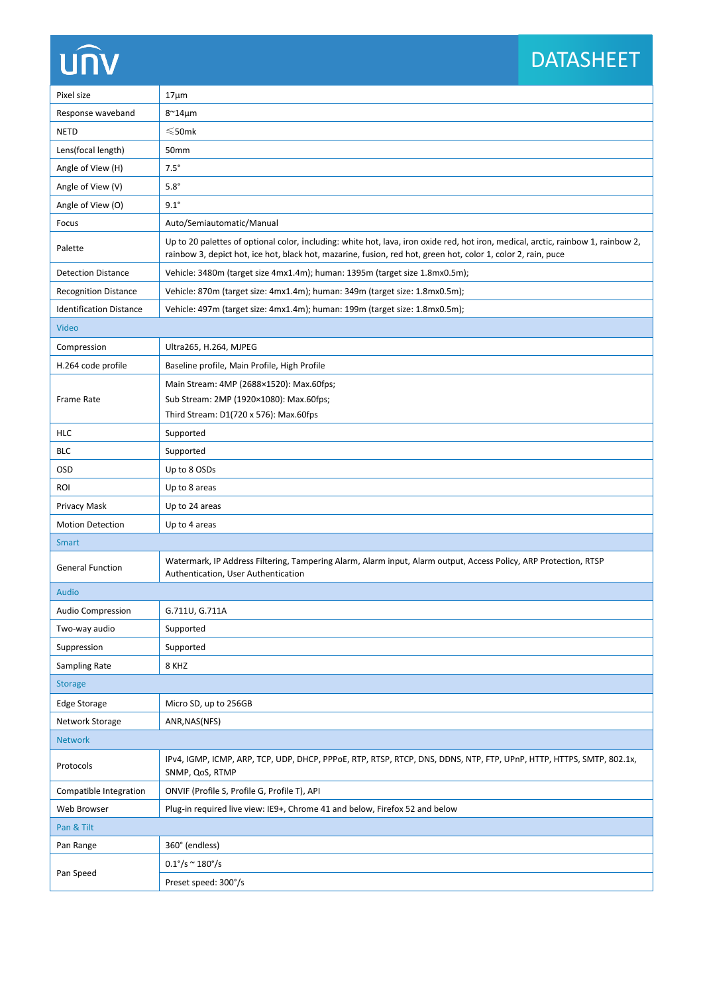# **UNV**

# DATASHEET

| Pixel size                     | $17 \mu m$                                                                                                                                                                                                                                         |  |  |  |
|--------------------------------|----------------------------------------------------------------------------------------------------------------------------------------------------------------------------------------------------------------------------------------------------|--|--|--|
| Response waveband              | $8^{\sim}$ 14 $\mu$ m                                                                                                                                                                                                                              |  |  |  |
| <b>NETD</b>                    | $≤$ 50mk                                                                                                                                                                                                                                           |  |  |  |
| Lens(focal length)             | 50mm                                                                                                                                                                                                                                               |  |  |  |
| Angle of View (H)              | $7.5^\circ$                                                                                                                                                                                                                                        |  |  |  |
| Angle of View (V)              | $5.8^\circ$                                                                                                                                                                                                                                        |  |  |  |
| Angle of View (O)              | $9.1^\circ$                                                                                                                                                                                                                                        |  |  |  |
| Focus                          | Auto/Semiautomatic/Manual                                                                                                                                                                                                                          |  |  |  |
| Palette                        | Up to 20 palettes of optional color, including: white hot, lava, iron oxide red, hot iron, medical, arctic, rainbow 1, rainbow 2,<br>rainbow 3, depict hot, ice hot, black hot, mazarine, fusion, red hot, green hot, color 1, color 2, rain, puce |  |  |  |
| <b>Detection Distance</b>      | Vehicle: 3480m (target size 4mx1.4m); human: 1395m (target size 1.8mx0.5m);                                                                                                                                                                        |  |  |  |
| <b>Recognition Distance</b>    | Vehicle: 870m (target size: 4mx1.4m); human: 349m (target size: 1.8mx0.5m);                                                                                                                                                                        |  |  |  |
| <b>Identification Distance</b> | Vehicle: 497m (target size: 4mx1.4m); human: 199m (target size: 1.8mx0.5m);                                                                                                                                                                        |  |  |  |
| Video                          |                                                                                                                                                                                                                                                    |  |  |  |
| Compression                    | Ultra265, H.264, MJPEG                                                                                                                                                                                                                             |  |  |  |
| H.264 code profile             | Baseline profile, Main Profile, High Profile                                                                                                                                                                                                       |  |  |  |
|                                | Main Stream: 4MP (2688×1520): Max.60fps;                                                                                                                                                                                                           |  |  |  |
| <b>Frame Rate</b>              | Sub Stream: 2MP (1920×1080): Max.60fps;                                                                                                                                                                                                            |  |  |  |
|                                | Third Stream: D1(720 x 576): Max.60fps                                                                                                                                                                                                             |  |  |  |
| <b>HLC</b>                     | Supported                                                                                                                                                                                                                                          |  |  |  |
| <b>BLC</b>                     | Supported                                                                                                                                                                                                                                          |  |  |  |
| OSD                            | Up to 8 OSDs                                                                                                                                                                                                                                       |  |  |  |
| <b>ROI</b>                     | Up to 8 areas                                                                                                                                                                                                                                      |  |  |  |
| Privacy Mask                   | Up to 24 areas                                                                                                                                                                                                                                     |  |  |  |
| <b>Motion Detection</b>        | Up to 4 areas                                                                                                                                                                                                                                      |  |  |  |
| <b>Smart</b>                   |                                                                                                                                                                                                                                                    |  |  |  |
| <b>General Function</b>        | Watermark, IP Address Filtering, Tampering Alarm, Alarm input, Alarm output, Access Policy, ARP Protection, RTSP<br>Authentication, User Authentication                                                                                            |  |  |  |
| <b>Audio</b>                   |                                                                                                                                                                                                                                                    |  |  |  |
| Audio Compression              | G.711U, G.711A                                                                                                                                                                                                                                     |  |  |  |
| Two-way audio                  | Supported                                                                                                                                                                                                                                          |  |  |  |
| Suppression                    | Supported                                                                                                                                                                                                                                          |  |  |  |
| Sampling Rate                  | 8 KHZ                                                                                                                                                                                                                                              |  |  |  |
| <b>Storage</b>                 |                                                                                                                                                                                                                                                    |  |  |  |
| <b>Edge Storage</b>            | Micro SD, up to 256GB                                                                                                                                                                                                                              |  |  |  |
| Network Storage                | ANR, NAS(NFS)                                                                                                                                                                                                                                      |  |  |  |
| <b>Network</b>                 |                                                                                                                                                                                                                                                    |  |  |  |
| Protocols                      | IPv4, IGMP, ICMP, ARP, TCP, UDP, DHCP, PPPoE, RTP, RTSP, RTCP, DNS, DDNS, NTP, FTP, UPnP, HTTP, HTTPS, SMTP, 802.1x,<br>SNMP, QoS, RTMP                                                                                                            |  |  |  |
| Compatible Integration         | ONVIF (Profile S, Profile G, Profile T), API                                                                                                                                                                                                       |  |  |  |
| Web Browser                    | Plug-in required live view: IE9+, Chrome 41 and below, Firefox 52 and below                                                                                                                                                                        |  |  |  |
| Pan & Tilt                     |                                                                                                                                                                                                                                                    |  |  |  |
| Pan Range                      | 360° (endless)                                                                                                                                                                                                                                     |  |  |  |
|                                | $0.1^{\circ}/s \approx 180^{\circ}/s$                                                                                                                                                                                                              |  |  |  |
| Pan Speed                      | Preset speed: 300°/s                                                                                                                                                                                                                               |  |  |  |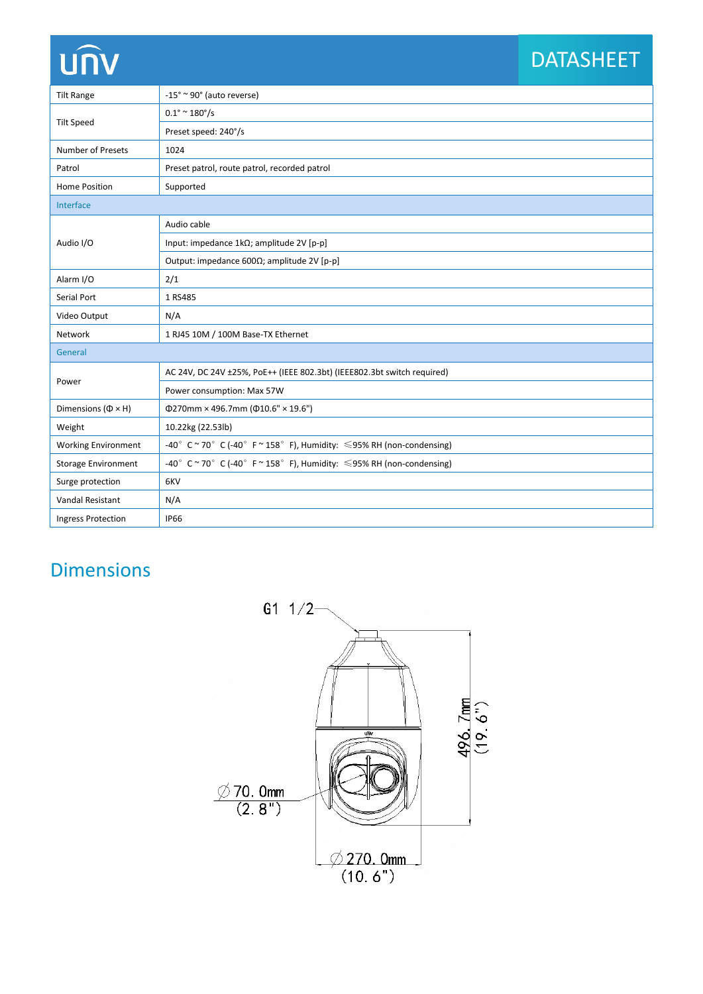# unv

# DATASHEET

| <b>Tilt Range</b>              | $-15^{\circ} \approx 90^{\circ}$ (auto reverse)                            |  |  |  |
|--------------------------------|----------------------------------------------------------------------------|--|--|--|
| <b>Tilt Speed</b>              | $0.1^{\circ}$ ~ 180 $^{\circ}/s$                                           |  |  |  |
|                                | Preset speed: 240°/s                                                       |  |  |  |
| Number of Presets              | 1024                                                                       |  |  |  |
| Patrol                         | Preset patrol, route patrol, recorded patrol                               |  |  |  |
| Home Position                  | Supported                                                                  |  |  |  |
| Interface                      |                                                                            |  |  |  |
| Audio I/O                      | Audio cable                                                                |  |  |  |
|                                | Input: impedance 1kΩ; amplitude 2V [p-p]                                   |  |  |  |
|                                | Output: impedance $600\Omega$ ; amplitude 2V [p-p]                         |  |  |  |
| Alarm I/O                      | 2/1                                                                        |  |  |  |
| Serial Port                    | 1 RS485                                                                    |  |  |  |
| Video Output                   | N/A                                                                        |  |  |  |
| Network                        | 1 RJ45 10M / 100M Base-TX Ethernet                                         |  |  |  |
| General                        |                                                                            |  |  |  |
| Power                          | AC 24V, DC 24V ±25%, PoE++ (IEEE 802.3bt) (IEEE802.3bt switch required)    |  |  |  |
|                                | Power consumption: Max 57W                                                 |  |  |  |
| Dimensions ( $\Phi \times H$ ) | $\Phi$ 270mm × 496.7mm ( $\Phi$ 10.6" × 19.6")                             |  |  |  |
| Weight                         | 10.22kg (22.53lb)                                                          |  |  |  |
| <b>Working Environment</b>     | -40° C ~ 70° C (-40° F ~ 158° F), Humidity: $\leq$ 95% RH (non-condensing) |  |  |  |
| <b>Storage Environment</b>     | -40° C ~ 70° C (-40° F ~ 158° F), Humidity: $\leq$ 95% RH (non-condensing) |  |  |  |
| Surge protection               | 6KV                                                                        |  |  |  |
| Vandal Resistant               | N/A                                                                        |  |  |  |
| <b>Ingress Protection</b>      | <b>IP66</b>                                                                |  |  |  |

## Dimensions